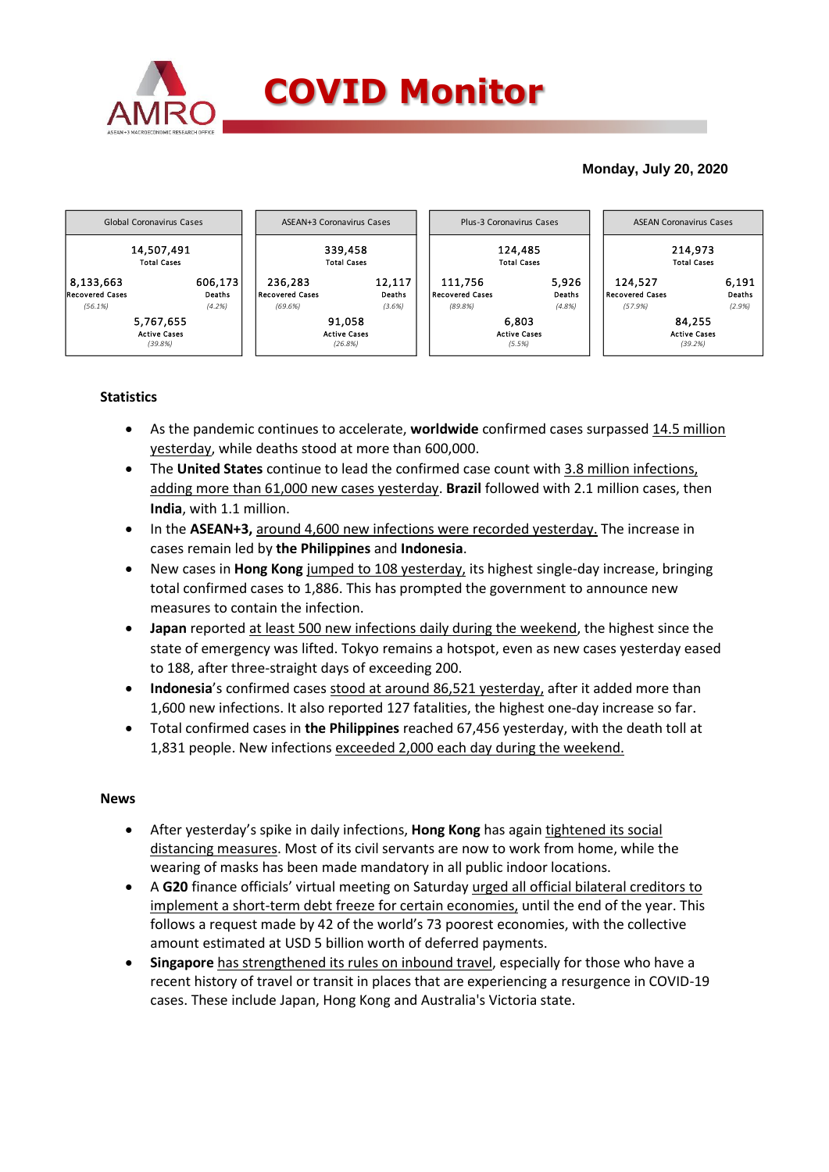

## **Monday, July 20, 2020**



## **Statistics**

- As the pandemic continues to accelerate, **worldwide** confirmed cases surpassed 14.5 million yesterday, while deaths stood at more than 600,000.
- The **United States** continue to lead the confirmed case count with 3.8 million infections, adding more than 61,000 new cases yesterday. **Brazil** followed with 2.1 million cases, then **India**, with 1.1 million.
- In the **ASEAN+3,** around 4,600 new infections were recorded yesterday. The increase in cases remain led by **the Philippines** and **Indonesia**.
- New cases in **Hong Kong** jumped to 108 yesterday, its highest single-day increase, bringing total confirmed cases to 1,886. This has prompted the government to announce new measures to contain the infection.
- **Japan** reported at least 500 new infections daily during the weekend, the highest since the state of emergency was lifted. Tokyo remains a hotspot, even as new cases yesterday eased to 188, after three-straight days of exceeding 200.
- **Indonesia**'s confirmed cases stood at around 86,521 yesterday, after it added more than 1,600 new infections. It also reported 127 fatalities, the highest one-day increase so far.
- Total confirmed cases in **the Philippines** reached 67,456 yesterday, with the death toll at 1,831 people. New infections exceeded 2,000 each day during the weekend.

## **News**

- After yesterday's spike in daily infections, **Hong Kong** has again tightened its social distancing measures. Most of its civil servants are now to work from home, while the wearing of masks has been made mandatory in all public indoor locations.
- A **G20** finance officials' virtual meeting on Saturday urged all official bilateral creditors to implement a short-term debt freeze for certain economies, until the end of the year. This follows a request made by 42 of the world's 73 poorest economies, with the collective amount estimated at USD 5 billion worth of deferred payments.
- **Singapore** has strengthened its rules on inbound travel, especially for those who have a recent history of travel or transit in places that are experiencing a resurgence in COVID-19 cases. These include Japan, Hong Kong and Australia's Victoria state.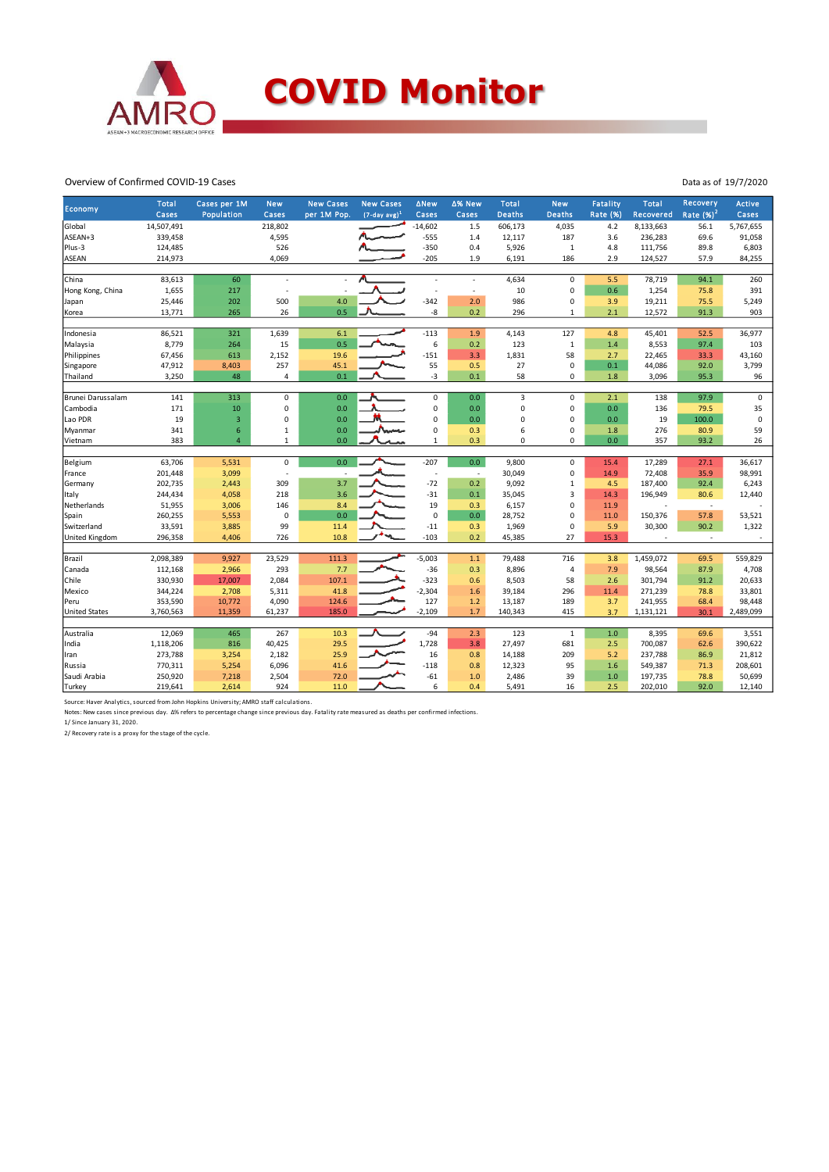

Overview of Confirmed COVID-19 Cases

| Economy<br>Rate $(%)2$<br>Population<br>$(7-day avg)^1$<br>Cases<br><b>Deaths</b><br><b>Deaths</b><br><b>Rate (%)</b><br>Cases<br>Cases<br>Cases<br>per 1M Pop.<br>Cases<br>Recovered<br>Global<br>14,507,491<br>218,802<br>$-14,602$<br>1.5<br>606,173<br>4,035<br>4.2<br>8,133,663<br>56.1<br>5,767,655<br>187<br>ASEAN+3<br>339,458<br>4,595<br>$-555$<br>12,117<br>236,283<br>69.6<br>91,058<br>1.4<br>3.6<br>$-350$<br>0.4<br>$\mathbf{1}$<br>Plus-3<br>124,485<br>526<br>5,926<br>4.8<br>111,756<br>89.8<br>6,803<br><b>ASEAN</b><br>214,973<br>4,069<br>$-205$<br>1.9<br>6,191<br>186<br>2.9<br>57.9<br>124,527<br>84,255<br>China<br>83,613<br>$\mathbf 0$<br>78,719<br>94.1<br>60<br>4,634<br>5.5<br>260<br>÷.<br>$\mathbf 0$<br>1,655<br>10<br>0.6<br>1,254<br>75.8<br>391<br>Hong Kong, China<br>217<br>$\overline{\phantom{a}}$<br>$\mathbf 0$<br>500<br>4.0<br>$-342$<br>2.0<br>19,211<br>25,446<br>202<br>986<br>3.9<br>75.5<br>5,249<br>Japan<br>13,771<br>265<br>26<br>0.5<br>-8<br>0.2<br>296<br>2.1<br>91.3<br>903<br>$\mathbf{1}$<br>12,572<br>Korea<br>86,521<br>321<br>1,639<br>$-113$<br>127<br>36,977<br>Indonesia<br>6.1<br>1.9<br>4,143<br>4.8<br>45,401<br>52.5<br>8,779<br>15<br>0.5<br>6<br>0.2<br>123<br>$\mathbf{1}$<br>8,553<br>97.4<br>Malaysia<br>264<br>1.4<br>103<br>$-151$<br>58<br>2,152<br>1,831<br>43,160<br>Philippines<br>67,456<br>613<br>19.6<br>3.3<br>2.7<br>22,465<br>33.3<br>257<br>55<br>$\mathbf 0$<br>Singapore<br>47,912<br>8,403<br>45.1<br>0.5<br>27<br>0.1<br>44,086<br>92.0<br>3,799<br>-3<br>48<br>0.1<br>0.1<br>$\mathbf 0$<br>96<br>Thailand<br>3,250<br>4<br>58<br>$1.8\,$<br>95.3<br>3,096<br>Brunei Darussalam<br>313<br>$\mathbf 0$<br>0.0<br>3<br>$\mathbf 0$<br>138<br>97.9<br>$\mathbf 0$<br>141<br>0<br>0.0<br>2.1<br>$\mathbf 0$<br>$\mathbf 0$<br>Cambodia<br>171<br>10<br>0.0<br>0<br>0.0<br>0<br>0.0<br>136<br>79.5<br>35<br>19<br>Lao PDR<br>$\mathsf 3$<br>0<br>0.0<br>0<br>0.0<br>0<br>0<br>19<br>100.0<br>$\pmb{0}$<br>0.0<br>6<br>Num<br>$\mathbf 0$<br>341<br>$\,1\,$<br>0.0<br>0<br>6<br>276<br>80.9<br>59<br>Myanmar<br>0.3<br>1.8<br>383<br>$\overline{4}$<br>0.0<br>0.3<br>0<br>$\Omega$<br>0.0<br>357<br>93.2<br>26<br>Vietnam<br>1<br>$\mathbf{1}$<br>Belgium<br>$\mathbf 0$<br>0.0<br>$-207$<br>$\mathbf 0$<br>63,706<br>5,531<br>0.0<br>9,800<br>17,289<br>36,617<br>15.4<br>27.1<br>201,448<br>3,099<br>30,049<br>0<br>14.9<br>72,408<br>35.9<br>98,991<br>France<br>÷,<br>$\sim$<br>$-72$<br>202,735<br>3.7<br>0.2<br>9,092<br>$\mathbf{1}$<br>6,243<br>2,443<br>309<br>4.5<br>187,400<br>92.4<br>Germany<br>$-31$<br>$\overline{3}$<br>244,434<br>218<br>3.6<br>196,949<br>Italy<br>4,058<br>0.1<br>35,045<br>14.3<br>80.6<br>12,440<br>19<br>$\mathbf 0$<br>51,955<br>3,006<br>146<br>8.4<br>6,157<br>11.9<br>Netherlands<br>0.3<br>$\sim$<br>$\mathbf 0$<br>260,255<br>$\mathbf 0$<br>0.0<br>0<br>150,376<br>53,521<br>Spain<br>5,553<br>0.0<br>28,752<br>11.0<br>57.8<br>$\textbf{-11}$<br>$\mathbf 0$<br>90.2<br>Switzerland<br>33,591<br>3,885<br>99<br>0.3<br>1,969<br>5.9<br>30,300<br>1,322<br>11.4<br>10.8<br>$-103$<br>27<br>15.3<br><b>United Kingdom</b><br>296,358<br>4,406<br>726<br>0.2<br>45,385<br>$\sim$<br>Brazil<br>2,098,389<br>9,927<br>23,529<br>111.3<br>$-5,003$<br>1.1<br>79,488<br>716<br>69.5<br>559,829<br>3.8<br>1,459,072<br>7.7<br>$-36$<br>$\overline{4}$<br>Canada<br>112,168<br>2,966<br>293<br>0.3<br>8,896<br>7.9<br>98,564<br>87.9<br>4,708 |              |              |            |                  |                  |             |        |              |            |          |              |                 |               |
|--------------------------------------------------------------------------------------------------------------------------------------------------------------------------------------------------------------------------------------------------------------------------------------------------------------------------------------------------------------------------------------------------------------------------------------------------------------------------------------------------------------------------------------------------------------------------------------------------------------------------------------------------------------------------------------------------------------------------------------------------------------------------------------------------------------------------------------------------------------------------------------------------------------------------------------------------------------------------------------------------------------------------------------------------------------------------------------------------------------------------------------------------------------------------------------------------------------------------------------------------------------------------------------------------------------------------------------------------------------------------------------------------------------------------------------------------------------------------------------------------------------------------------------------------------------------------------------------------------------------------------------------------------------------------------------------------------------------------------------------------------------------------------------------------------------------------------------------------------------------------------------------------------------------------------------------------------------------------------------------------------------------------------------------------------------------------------------------------------------------------------------------------------------------------------------------------------------------------------------------------------------------------------------------------------------------------------------------------------------------------------------------------------------------------------------------------------------------------------------------------------------------------------------------------------------------------------------------------------------------------------------------------------------------------------------------------------------------------------------------------------------------------------------------------------------------------------------------------------------------------------------------------------------------------------------------------------------------------------------------------------------------------------------------------------------------------------------------------------------------------------------------------------------------------------------------------------------------------------------------------------------------------------------------------------------------------------------------------------------------------------------------------------------------------------------------------------------------------|--------------|--------------|------------|------------------|------------------|-------------|--------|--------------|------------|----------|--------------|-----------------|---------------|
|                                                                                                                                                                                                                                                                                                                                                                                                                                                                                                                                                                                                                                                                                                                                                                                                                                                                                                                                                                                                                                                                                                                                                                                                                                                                                                                                                                                                                                                                                                                                                                                                                                                                                                                                                                                                                                                                                                                                                                                                                                                                                                                                                                                                                                                                                                                                                                                                                                                                                                                                                                                                                                                                                                                                                                                                                                                                                                                                                                                                                                                                                                                                                                                                                                                                                                                                                                                                                                                                          | <b>Total</b> | Cases per 1M | <b>New</b> | <b>New Cases</b> | <b>New Cases</b> | <b>∆New</b> | ∆% New | <b>Total</b> | <b>New</b> | Fatality | <b>Total</b> | <b>Recovery</b> | <b>Active</b> |
|                                                                                                                                                                                                                                                                                                                                                                                                                                                                                                                                                                                                                                                                                                                                                                                                                                                                                                                                                                                                                                                                                                                                                                                                                                                                                                                                                                                                                                                                                                                                                                                                                                                                                                                                                                                                                                                                                                                                                                                                                                                                                                                                                                                                                                                                                                                                                                                                                                                                                                                                                                                                                                                                                                                                                                                                                                                                                                                                                                                                                                                                                                                                                                                                                                                                                                                                                                                                                                                                          |              |              |            |                  |                  |             |        |              |            |          |              |                 |               |
|                                                                                                                                                                                                                                                                                                                                                                                                                                                                                                                                                                                                                                                                                                                                                                                                                                                                                                                                                                                                                                                                                                                                                                                                                                                                                                                                                                                                                                                                                                                                                                                                                                                                                                                                                                                                                                                                                                                                                                                                                                                                                                                                                                                                                                                                                                                                                                                                                                                                                                                                                                                                                                                                                                                                                                                                                                                                                                                                                                                                                                                                                                                                                                                                                                                                                                                                                                                                                                                                          |              |              |            |                  |                  |             |        |              |            |          |              |                 |               |
|                                                                                                                                                                                                                                                                                                                                                                                                                                                                                                                                                                                                                                                                                                                                                                                                                                                                                                                                                                                                                                                                                                                                                                                                                                                                                                                                                                                                                                                                                                                                                                                                                                                                                                                                                                                                                                                                                                                                                                                                                                                                                                                                                                                                                                                                                                                                                                                                                                                                                                                                                                                                                                                                                                                                                                                                                                                                                                                                                                                                                                                                                                                                                                                                                                                                                                                                                                                                                                                                          |              |              |            |                  |                  |             |        |              |            |          |              |                 |               |
|                                                                                                                                                                                                                                                                                                                                                                                                                                                                                                                                                                                                                                                                                                                                                                                                                                                                                                                                                                                                                                                                                                                                                                                                                                                                                                                                                                                                                                                                                                                                                                                                                                                                                                                                                                                                                                                                                                                                                                                                                                                                                                                                                                                                                                                                                                                                                                                                                                                                                                                                                                                                                                                                                                                                                                                                                                                                                                                                                                                                                                                                                                                                                                                                                                                                                                                                                                                                                                                                          |              |              |            |                  |                  |             |        |              |            |          |              |                 |               |
|                                                                                                                                                                                                                                                                                                                                                                                                                                                                                                                                                                                                                                                                                                                                                                                                                                                                                                                                                                                                                                                                                                                                                                                                                                                                                                                                                                                                                                                                                                                                                                                                                                                                                                                                                                                                                                                                                                                                                                                                                                                                                                                                                                                                                                                                                                                                                                                                                                                                                                                                                                                                                                                                                                                                                                                                                                                                                                                                                                                                                                                                                                                                                                                                                                                                                                                                                                                                                                                                          |              |              |            |                  |                  |             |        |              |            |          |              |                 |               |
|                                                                                                                                                                                                                                                                                                                                                                                                                                                                                                                                                                                                                                                                                                                                                                                                                                                                                                                                                                                                                                                                                                                                                                                                                                                                                                                                                                                                                                                                                                                                                                                                                                                                                                                                                                                                                                                                                                                                                                                                                                                                                                                                                                                                                                                                                                                                                                                                                                                                                                                                                                                                                                                                                                                                                                                                                                                                                                                                                                                                                                                                                                                                                                                                                                                                                                                                                                                                                                                                          |              |              |            |                  |                  |             |        |              |            |          |              |                 |               |
|                                                                                                                                                                                                                                                                                                                                                                                                                                                                                                                                                                                                                                                                                                                                                                                                                                                                                                                                                                                                                                                                                                                                                                                                                                                                                                                                                                                                                                                                                                                                                                                                                                                                                                                                                                                                                                                                                                                                                                                                                                                                                                                                                                                                                                                                                                                                                                                                                                                                                                                                                                                                                                                                                                                                                                                                                                                                                                                                                                                                                                                                                                                                                                                                                                                                                                                                                                                                                                                                          |              |              |            |                  |                  |             |        |              |            |          |              |                 |               |
|                                                                                                                                                                                                                                                                                                                                                                                                                                                                                                                                                                                                                                                                                                                                                                                                                                                                                                                                                                                                                                                                                                                                                                                                                                                                                                                                                                                                                                                                                                                                                                                                                                                                                                                                                                                                                                                                                                                                                                                                                                                                                                                                                                                                                                                                                                                                                                                                                                                                                                                                                                                                                                                                                                                                                                                                                                                                                                                                                                                                                                                                                                                                                                                                                                                                                                                                                                                                                                                                          |              |              |            |                  |                  |             |        |              |            |          |              |                 |               |
|                                                                                                                                                                                                                                                                                                                                                                                                                                                                                                                                                                                                                                                                                                                                                                                                                                                                                                                                                                                                                                                                                                                                                                                                                                                                                                                                                                                                                                                                                                                                                                                                                                                                                                                                                                                                                                                                                                                                                                                                                                                                                                                                                                                                                                                                                                                                                                                                                                                                                                                                                                                                                                                                                                                                                                                                                                                                                                                                                                                                                                                                                                                                                                                                                                                                                                                                                                                                                                                                          |              |              |            |                  |                  |             |        |              |            |          |              |                 |               |
|                                                                                                                                                                                                                                                                                                                                                                                                                                                                                                                                                                                                                                                                                                                                                                                                                                                                                                                                                                                                                                                                                                                                                                                                                                                                                                                                                                                                                                                                                                                                                                                                                                                                                                                                                                                                                                                                                                                                                                                                                                                                                                                                                                                                                                                                                                                                                                                                                                                                                                                                                                                                                                                                                                                                                                                                                                                                                                                                                                                                                                                                                                                                                                                                                                                                                                                                                                                                                                                                          |              |              |            |                  |                  |             |        |              |            |          |              |                 |               |
|                                                                                                                                                                                                                                                                                                                                                                                                                                                                                                                                                                                                                                                                                                                                                                                                                                                                                                                                                                                                                                                                                                                                                                                                                                                                                                                                                                                                                                                                                                                                                                                                                                                                                                                                                                                                                                                                                                                                                                                                                                                                                                                                                                                                                                                                                                                                                                                                                                                                                                                                                                                                                                                                                                                                                                                                                                                                                                                                                                                                                                                                                                                                                                                                                                                                                                                                                                                                                                                                          |              |              |            |                  |                  |             |        |              |            |          |              |                 |               |
|                                                                                                                                                                                                                                                                                                                                                                                                                                                                                                                                                                                                                                                                                                                                                                                                                                                                                                                                                                                                                                                                                                                                                                                                                                                                                                                                                                                                                                                                                                                                                                                                                                                                                                                                                                                                                                                                                                                                                                                                                                                                                                                                                                                                                                                                                                                                                                                                                                                                                                                                                                                                                                                                                                                                                                                                                                                                                                                                                                                                                                                                                                                                                                                                                                                                                                                                                                                                                                                                          |              |              |            |                  |                  |             |        |              |            |          |              |                 |               |
|                                                                                                                                                                                                                                                                                                                                                                                                                                                                                                                                                                                                                                                                                                                                                                                                                                                                                                                                                                                                                                                                                                                                                                                                                                                                                                                                                                                                                                                                                                                                                                                                                                                                                                                                                                                                                                                                                                                                                                                                                                                                                                                                                                                                                                                                                                                                                                                                                                                                                                                                                                                                                                                                                                                                                                                                                                                                                                                                                                                                                                                                                                                                                                                                                                                                                                                                                                                                                                                                          |              |              |            |                  |                  |             |        |              |            |          |              |                 |               |
|                                                                                                                                                                                                                                                                                                                                                                                                                                                                                                                                                                                                                                                                                                                                                                                                                                                                                                                                                                                                                                                                                                                                                                                                                                                                                                                                                                                                                                                                                                                                                                                                                                                                                                                                                                                                                                                                                                                                                                                                                                                                                                                                                                                                                                                                                                                                                                                                                                                                                                                                                                                                                                                                                                                                                                                                                                                                                                                                                                                                                                                                                                                                                                                                                                                                                                                                                                                                                                                                          |              |              |            |                  |                  |             |        |              |            |          |              |                 |               |
|                                                                                                                                                                                                                                                                                                                                                                                                                                                                                                                                                                                                                                                                                                                                                                                                                                                                                                                                                                                                                                                                                                                                                                                                                                                                                                                                                                                                                                                                                                                                                                                                                                                                                                                                                                                                                                                                                                                                                                                                                                                                                                                                                                                                                                                                                                                                                                                                                                                                                                                                                                                                                                                                                                                                                                                                                                                                                                                                                                                                                                                                                                                                                                                                                                                                                                                                                                                                                                                                          |              |              |            |                  |                  |             |        |              |            |          |              |                 |               |
|                                                                                                                                                                                                                                                                                                                                                                                                                                                                                                                                                                                                                                                                                                                                                                                                                                                                                                                                                                                                                                                                                                                                                                                                                                                                                                                                                                                                                                                                                                                                                                                                                                                                                                                                                                                                                                                                                                                                                                                                                                                                                                                                                                                                                                                                                                                                                                                                                                                                                                                                                                                                                                                                                                                                                                                                                                                                                                                                                                                                                                                                                                                                                                                                                                                                                                                                                                                                                                                                          |              |              |            |                  |                  |             |        |              |            |          |              |                 |               |
|                                                                                                                                                                                                                                                                                                                                                                                                                                                                                                                                                                                                                                                                                                                                                                                                                                                                                                                                                                                                                                                                                                                                                                                                                                                                                                                                                                                                                                                                                                                                                                                                                                                                                                                                                                                                                                                                                                                                                                                                                                                                                                                                                                                                                                                                                                                                                                                                                                                                                                                                                                                                                                                                                                                                                                                                                                                                                                                                                                                                                                                                                                                                                                                                                                                                                                                                                                                                                                                                          |              |              |            |                  |                  |             |        |              |            |          |              |                 |               |
|                                                                                                                                                                                                                                                                                                                                                                                                                                                                                                                                                                                                                                                                                                                                                                                                                                                                                                                                                                                                                                                                                                                                                                                                                                                                                                                                                                                                                                                                                                                                                                                                                                                                                                                                                                                                                                                                                                                                                                                                                                                                                                                                                                                                                                                                                                                                                                                                                                                                                                                                                                                                                                                                                                                                                                                                                                                                                                                                                                                                                                                                                                                                                                                                                                                                                                                                                                                                                                                                          |              |              |            |                  |                  |             |        |              |            |          |              |                 |               |
|                                                                                                                                                                                                                                                                                                                                                                                                                                                                                                                                                                                                                                                                                                                                                                                                                                                                                                                                                                                                                                                                                                                                                                                                                                                                                                                                                                                                                                                                                                                                                                                                                                                                                                                                                                                                                                                                                                                                                                                                                                                                                                                                                                                                                                                                                                                                                                                                                                                                                                                                                                                                                                                                                                                                                                                                                                                                                                                                                                                                                                                                                                                                                                                                                                                                                                                                                                                                                                                                          |              |              |            |                  |                  |             |        |              |            |          |              |                 |               |
|                                                                                                                                                                                                                                                                                                                                                                                                                                                                                                                                                                                                                                                                                                                                                                                                                                                                                                                                                                                                                                                                                                                                                                                                                                                                                                                                                                                                                                                                                                                                                                                                                                                                                                                                                                                                                                                                                                                                                                                                                                                                                                                                                                                                                                                                                                                                                                                                                                                                                                                                                                                                                                                                                                                                                                                                                                                                                                                                                                                                                                                                                                                                                                                                                                                                                                                                                                                                                                                                          |              |              |            |                  |                  |             |        |              |            |          |              |                 |               |
|                                                                                                                                                                                                                                                                                                                                                                                                                                                                                                                                                                                                                                                                                                                                                                                                                                                                                                                                                                                                                                                                                                                                                                                                                                                                                                                                                                                                                                                                                                                                                                                                                                                                                                                                                                                                                                                                                                                                                                                                                                                                                                                                                                                                                                                                                                                                                                                                                                                                                                                                                                                                                                                                                                                                                                                                                                                                                                                                                                                                                                                                                                                                                                                                                                                                                                                                                                                                                                                                          |              |              |            |                  |                  |             |        |              |            |          |              |                 |               |
|                                                                                                                                                                                                                                                                                                                                                                                                                                                                                                                                                                                                                                                                                                                                                                                                                                                                                                                                                                                                                                                                                                                                                                                                                                                                                                                                                                                                                                                                                                                                                                                                                                                                                                                                                                                                                                                                                                                                                                                                                                                                                                                                                                                                                                                                                                                                                                                                                                                                                                                                                                                                                                                                                                                                                                                                                                                                                                                                                                                                                                                                                                                                                                                                                                                                                                                                                                                                                                                                          |              |              |            |                  |                  |             |        |              |            |          |              |                 |               |
|                                                                                                                                                                                                                                                                                                                                                                                                                                                                                                                                                                                                                                                                                                                                                                                                                                                                                                                                                                                                                                                                                                                                                                                                                                                                                                                                                                                                                                                                                                                                                                                                                                                                                                                                                                                                                                                                                                                                                                                                                                                                                                                                                                                                                                                                                                                                                                                                                                                                                                                                                                                                                                                                                                                                                                                                                                                                                                                                                                                                                                                                                                                                                                                                                                                                                                                                                                                                                                                                          |              |              |            |                  |                  |             |        |              |            |          |              |                 |               |
|                                                                                                                                                                                                                                                                                                                                                                                                                                                                                                                                                                                                                                                                                                                                                                                                                                                                                                                                                                                                                                                                                                                                                                                                                                                                                                                                                                                                                                                                                                                                                                                                                                                                                                                                                                                                                                                                                                                                                                                                                                                                                                                                                                                                                                                                                                                                                                                                                                                                                                                                                                                                                                                                                                                                                                                                                                                                                                                                                                                                                                                                                                                                                                                                                                                                                                                                                                                                                                                                          |              |              |            |                  |                  |             |        |              |            |          |              |                 |               |
|                                                                                                                                                                                                                                                                                                                                                                                                                                                                                                                                                                                                                                                                                                                                                                                                                                                                                                                                                                                                                                                                                                                                                                                                                                                                                                                                                                                                                                                                                                                                                                                                                                                                                                                                                                                                                                                                                                                                                                                                                                                                                                                                                                                                                                                                                                                                                                                                                                                                                                                                                                                                                                                                                                                                                                                                                                                                                                                                                                                                                                                                                                                                                                                                                                                                                                                                                                                                                                                                          |              |              |            |                  |                  |             |        |              |            |          |              |                 |               |
|                                                                                                                                                                                                                                                                                                                                                                                                                                                                                                                                                                                                                                                                                                                                                                                                                                                                                                                                                                                                                                                                                                                                                                                                                                                                                                                                                                                                                                                                                                                                                                                                                                                                                                                                                                                                                                                                                                                                                                                                                                                                                                                                                                                                                                                                                                                                                                                                                                                                                                                                                                                                                                                                                                                                                                                                                                                                                                                                                                                                                                                                                                                                                                                                                                                                                                                                                                                                                                                                          |              |              |            |                  |                  |             |        |              |            |          |              |                 |               |
|                                                                                                                                                                                                                                                                                                                                                                                                                                                                                                                                                                                                                                                                                                                                                                                                                                                                                                                                                                                                                                                                                                                                                                                                                                                                                                                                                                                                                                                                                                                                                                                                                                                                                                                                                                                                                                                                                                                                                                                                                                                                                                                                                                                                                                                                                                                                                                                                                                                                                                                                                                                                                                                                                                                                                                                                                                                                                                                                                                                                                                                                                                                                                                                                                                                                                                                                                                                                                                                                          |              |              |            |                  |                  |             |        |              |            |          |              |                 |               |
|                                                                                                                                                                                                                                                                                                                                                                                                                                                                                                                                                                                                                                                                                                                                                                                                                                                                                                                                                                                                                                                                                                                                                                                                                                                                                                                                                                                                                                                                                                                                                                                                                                                                                                                                                                                                                                                                                                                                                                                                                                                                                                                                                                                                                                                                                                                                                                                                                                                                                                                                                                                                                                                                                                                                                                                                                                                                                                                                                                                                                                                                                                                                                                                                                                                                                                                                                                                                                                                                          |              |              |            |                  |                  |             |        |              |            |          |              |                 |               |
|                                                                                                                                                                                                                                                                                                                                                                                                                                                                                                                                                                                                                                                                                                                                                                                                                                                                                                                                                                                                                                                                                                                                                                                                                                                                                                                                                                                                                                                                                                                                                                                                                                                                                                                                                                                                                                                                                                                                                                                                                                                                                                                                                                                                                                                                                                                                                                                                                                                                                                                                                                                                                                                                                                                                                                                                                                                                                                                                                                                                                                                                                                                                                                                                                                                                                                                                                                                                                                                                          |              |              |            |                  |                  |             |        |              |            |          |              |                 |               |
|                                                                                                                                                                                                                                                                                                                                                                                                                                                                                                                                                                                                                                                                                                                                                                                                                                                                                                                                                                                                                                                                                                                                                                                                                                                                                                                                                                                                                                                                                                                                                                                                                                                                                                                                                                                                                                                                                                                                                                                                                                                                                                                                                                                                                                                                                                                                                                                                                                                                                                                                                                                                                                                                                                                                                                                                                                                                                                                                                                                                                                                                                                                                                                                                                                                                                                                                                                                                                                                                          |              |              |            |                  |                  |             |        |              |            |          |              |                 |               |
|                                                                                                                                                                                                                                                                                                                                                                                                                                                                                                                                                                                                                                                                                                                                                                                                                                                                                                                                                                                                                                                                                                                                                                                                                                                                                                                                                                                                                                                                                                                                                                                                                                                                                                                                                                                                                                                                                                                                                                                                                                                                                                                                                                                                                                                                                                                                                                                                                                                                                                                                                                                                                                                                                                                                                                                                                                                                                                                                                                                                                                                                                                                                                                                                                                                                                                                                                                                                                                                                          |              |              |            |                  |                  |             |        |              |            |          |              |                 |               |
|                                                                                                                                                                                                                                                                                                                                                                                                                                                                                                                                                                                                                                                                                                                                                                                                                                                                                                                                                                                                                                                                                                                                                                                                                                                                                                                                                                                                                                                                                                                                                                                                                                                                                                                                                                                                                                                                                                                                                                                                                                                                                                                                                                                                                                                                                                                                                                                                                                                                                                                                                                                                                                                                                                                                                                                                                                                                                                                                                                                                                                                                                                                                                                                                                                                                                                                                                                                                                                                                          |              |              |            |                  |                  |             |        |              |            |          |              |                 |               |
| 330,930<br>$-323$<br>Chile<br>17,007<br>2,084<br>107.1<br>0.6<br>8,503<br>58<br>301,794<br>91.2<br>20,633<br>2.6                                                                                                                                                                                                                                                                                                                                                                                                                                                                                                                                                                                                                                                                                                                                                                                                                                                                                                                                                                                                                                                                                                                                                                                                                                                                                                                                                                                                                                                                                                                                                                                                                                                                                                                                                                                                                                                                                                                                                                                                                                                                                                                                                                                                                                                                                                                                                                                                                                                                                                                                                                                                                                                                                                                                                                                                                                                                                                                                                                                                                                                                                                                                                                                                                                                                                                                                                         |              |              |            |                  |                  |             |        |              |            |          |              |                 |               |
| $-2,304$<br>344,224<br>2,708<br>5,311<br>41.8<br>39,184<br>296<br>11.4<br>271,239<br>78.8<br>33,801<br>Mexico<br>1.6                                                                                                                                                                                                                                                                                                                                                                                                                                                                                                                                                                                                                                                                                                                                                                                                                                                                                                                                                                                                                                                                                                                                                                                                                                                                                                                                                                                                                                                                                                                                                                                                                                                                                                                                                                                                                                                                                                                                                                                                                                                                                                                                                                                                                                                                                                                                                                                                                                                                                                                                                                                                                                                                                                                                                                                                                                                                                                                                                                                                                                                                                                                                                                                                                                                                                                                                                     |              |              |            |                  |                  |             |        |              |            |          |              |                 |               |
| Peru<br>353,590<br>10,772<br>4,090<br>124.6<br>127<br>1.2<br>13,187<br>189<br>3.7<br>241,955<br>68.4<br>98,448                                                                                                                                                                                                                                                                                                                                                                                                                                                                                                                                                                                                                                                                                                                                                                                                                                                                                                                                                                                                                                                                                                                                                                                                                                                                                                                                                                                                                                                                                                                                                                                                                                                                                                                                                                                                                                                                                                                                                                                                                                                                                                                                                                                                                                                                                                                                                                                                                                                                                                                                                                                                                                                                                                                                                                                                                                                                                                                                                                                                                                                                                                                                                                                                                                                                                                                                                           |              |              |            |                  |                  |             |        |              |            |          |              |                 |               |
| <b>United States</b><br>3,760,563<br>11,359<br>61,237<br>185.0<br>$-2,109$<br>1.7<br>140,343<br>415<br>1,131,121<br>2,489,099<br>3.7<br>30.1                                                                                                                                                                                                                                                                                                                                                                                                                                                                                                                                                                                                                                                                                                                                                                                                                                                                                                                                                                                                                                                                                                                                                                                                                                                                                                                                                                                                                                                                                                                                                                                                                                                                                                                                                                                                                                                                                                                                                                                                                                                                                                                                                                                                                                                                                                                                                                                                                                                                                                                                                                                                                                                                                                                                                                                                                                                                                                                                                                                                                                                                                                                                                                                                                                                                                                                             |              |              |            |                  |                  |             |        |              |            |          |              |                 |               |
| 267<br>$-94$<br>$\mathbf{1}$<br>12,069<br>465<br>10.3<br>2.3<br>123<br>1.0<br>8,395<br>69.6<br>3,551<br>Australia                                                                                                                                                                                                                                                                                                                                                                                                                                                                                                                                                                                                                                                                                                                                                                                                                                                                                                                                                                                                                                                                                                                                                                                                                                                                                                                                                                                                                                                                                                                                                                                                                                                                                                                                                                                                                                                                                                                                                                                                                                                                                                                                                                                                                                                                                                                                                                                                                                                                                                                                                                                                                                                                                                                                                                                                                                                                                                                                                                                                                                                                                                                                                                                                                                                                                                                                                        |              |              |            |                  |                  |             |        |              |            |          |              |                 |               |
| 1,118,206<br>816<br>40,425<br>29.5<br>1,728<br>3.8<br>27,497<br>681<br>700,087<br>390,622<br>India<br>2.5<br>62.6                                                                                                                                                                                                                                                                                                                                                                                                                                                                                                                                                                                                                                                                                                                                                                                                                                                                                                                                                                                                                                                                                                                                                                                                                                                                                                                                                                                                                                                                                                                                                                                                                                                                                                                                                                                                                                                                                                                                                                                                                                                                                                                                                                                                                                                                                                                                                                                                                                                                                                                                                                                                                                                                                                                                                                                                                                                                                                                                                                                                                                                                                                                                                                                                                                                                                                                                                        |              |              |            |                  |                  |             |        |              |            |          |              |                 |               |
| 273,788<br>25.9<br>16<br>209<br>21,812<br>Iran<br>3,254<br>2,182<br>0.8<br>14,188<br>5.2<br>237,788<br>86.9                                                                                                                                                                                                                                                                                                                                                                                                                                                                                                                                                                                                                                                                                                                                                                                                                                                                                                                                                                                                                                                                                                                                                                                                                                                                                                                                                                                                                                                                                                                                                                                                                                                                                                                                                                                                                                                                                                                                                                                                                                                                                                                                                                                                                                                                                                                                                                                                                                                                                                                                                                                                                                                                                                                                                                                                                                                                                                                                                                                                                                                                                                                                                                                                                                                                                                                                                              |              |              |            |                  |                  |             |        |              |            |          |              |                 |               |
| 770,311<br>5,254<br>6,096<br>$-118$<br>12,323<br>95<br>549,387<br>208,601<br>Russia<br>41.6<br>0.8<br>1.6<br>71.3                                                                                                                                                                                                                                                                                                                                                                                                                                                                                                                                                                                                                                                                                                                                                                                                                                                                                                                                                                                                                                                                                                                                                                                                                                                                                                                                                                                                                                                                                                                                                                                                                                                                                                                                                                                                                                                                                                                                                                                                                                                                                                                                                                                                                                                                                                                                                                                                                                                                                                                                                                                                                                                                                                                                                                                                                                                                                                                                                                                                                                                                                                                                                                                                                                                                                                                                                        |              |              |            |                  |                  |             |        |              |            |          |              |                 |               |
| Saudi Arabia<br>250,920<br>7,218<br>2,504<br>72.0<br>$-61$<br>1.0<br>2,486<br>39<br>1.0<br>197,735<br>78.8<br>50,699                                                                                                                                                                                                                                                                                                                                                                                                                                                                                                                                                                                                                                                                                                                                                                                                                                                                                                                                                                                                                                                                                                                                                                                                                                                                                                                                                                                                                                                                                                                                                                                                                                                                                                                                                                                                                                                                                                                                                                                                                                                                                                                                                                                                                                                                                                                                                                                                                                                                                                                                                                                                                                                                                                                                                                                                                                                                                                                                                                                                                                                                                                                                                                                                                                                                                                                                                     |              |              |            |                  |                  |             |        |              |            |          |              |                 |               |
| 924<br>11.0<br>6<br>92.0<br>Turkey<br>219,641<br>2,614<br>0.4<br>5,491<br>16<br>2.5<br>202,010<br>12,140                                                                                                                                                                                                                                                                                                                                                                                                                                                                                                                                                                                                                                                                                                                                                                                                                                                                                                                                                                                                                                                                                                                                                                                                                                                                                                                                                                                                                                                                                                                                                                                                                                                                                                                                                                                                                                                                                                                                                                                                                                                                                                                                                                                                                                                                                                                                                                                                                                                                                                                                                                                                                                                                                                                                                                                                                                                                                                                                                                                                                                                                                                                                                                                                                                                                                                                                                                 |              |              |            |                  |                  |             |        |              |            |          |              |                 |               |

Source: Haver Analytics, sourced from John Hopkins University; AMRO staff calculations.

Notes: New cases since previous day. Δ% refers to percentage change since previous day. Fatality rate measured as deaths per confirmed infections.

1/ Since January 31, 2020. 2/ Recovery rate is a proxy for the stage of the cycle.

Data as of 19/7/2020